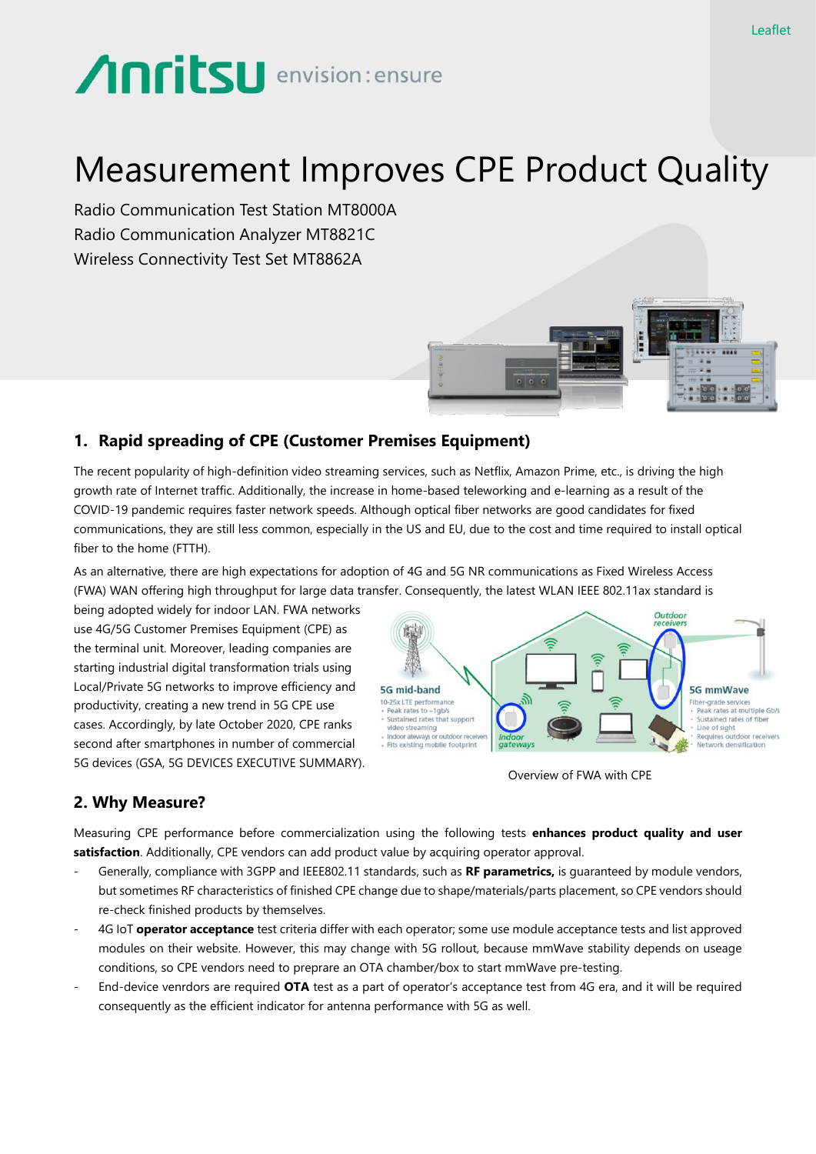# **Anritsu** envision: ensure

## Measurement Improves CPE Product Quality

Radio Communication Test Station MT8000A Radio Communication Analyzer MT8821C Wireless Connectivity Test Set MT8862A



### **1. Rapid spreading of CPE (Customer Premises Equipment)**

The recent popularity of high-definition video streaming services, such as Netflix, Amazon Prime, etc., is driving the high growth rate of Internet traffic. Additionally, the increase in home-based teleworking and e-learning as a result of the COVID-19 pandemic requires faster network speeds. Although optical fiber networks are good candidates for fixed communications, they are still less common, especially in the US and EU, due to the cost and time required to install optical fiber to the home (FTTH).

As an alternative, there are high expectations for adoption of 4G and 5G NR communications as Fixed Wireless Access (FWA) WAN offering high throughput for large data transfer. Consequently, the latest WLAN IEEE 802.11ax standard is

being adopted widely for indoor LAN. FWA networks use 4G/5G Customer Premises Equipment (CPE) as the terminal unit. Moreover, leading companies are starting industrial digital transformation trials using Local/Private 5G networks to improve efficiency and productivity, creating a new trend in 5G CPE use cases. Accordingly, by late October 2020, CPE ranks second after smartphones in number of commercial 5G devices (GSA, 5G DEVICES EXECUTIVE SUMMARY).



Overview of FWA with CPE

### **2. Why Measure?**

Measuring CPE performance before commercialization using the following tests **enhances product quality and user satisfaction**. Additionally, CPE vendors can add product value by acquiring operator approval.

- Generally, compliance with 3GPP and IEEE802.11 standards, such as **RF parametrics,** is guaranteed by module vendors, but sometimes RF characteristics of finished CPE change due to shape/materials/parts placement, so CPE vendors should re-check finished products by themselves.
- 4G IoT **operator acceptance** test criteria differ with each operator; some use module acceptance tests and list approved modules on their website. However, this may change with 5G rollout, because mmWave stability depends on useage conditions, so CPE vendors need to preprare an OTA chamber/box to start mmWave pre-testing.
- End-device venrdors are required **OTA** test as a part of operator's acceptance test from 4G era, and it will be required consequently as the efficient indicator for antenna performance with 5G as well.